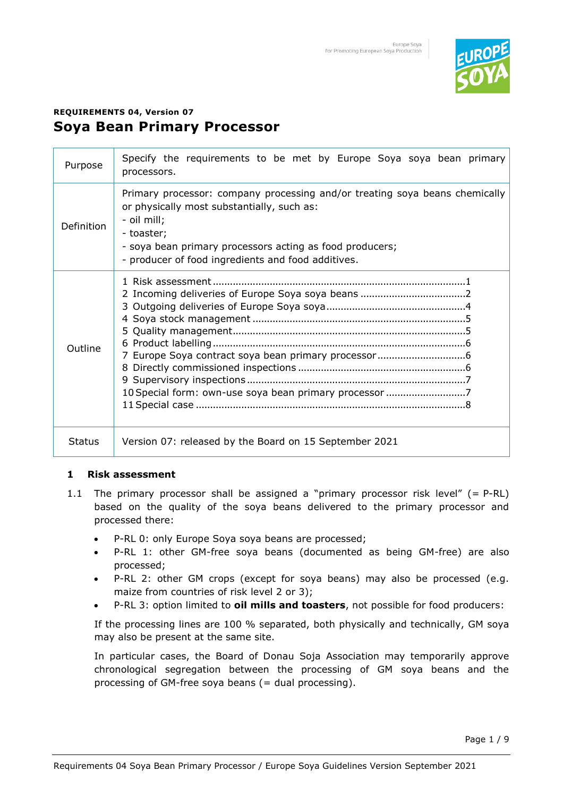

# **REQUIREMENTS 04, Version 07 Soya Bean Primary Processor**

| Purpose       | Specify the requirements to be met by Europe Soya soya bean primary<br>processors.                                                                                                                                                                                       |  |  |  |  |  |  |  |
|---------------|--------------------------------------------------------------------------------------------------------------------------------------------------------------------------------------------------------------------------------------------------------------------------|--|--|--|--|--|--|--|
| Definition    | Primary processor: company processing and/or treating soya beans chemically<br>or physically most substantially, such as:<br>- oil mill;<br>- toaster;<br>- soya bean primary processors acting as food producers;<br>- producer of food ingredients and food additives. |  |  |  |  |  |  |  |
| Outline       | 10 Special form: own-use soya bean primary processor 7                                                                                                                                                                                                                   |  |  |  |  |  |  |  |
| <b>Status</b> | Version 07: released by the Board on 15 September 2021                                                                                                                                                                                                                   |  |  |  |  |  |  |  |

### **1 Risk assessment**

- 1.1 The primary processor shall be assigned a "primary processor risk level"  $(= P-RL)$ based on the quality of the soya beans delivered to the primary processor and processed there:
	- P-RL 0: only Europe Soya soya beans are processed;
	- P-RL 1: other GM-free soya beans (documented as being GM-free) are also processed;
	- P-RL 2: other GM crops (except for soya beans) may also be processed (e.g. maize from countries of risk level 2 or 3);
	- P-RL 3: option limited to **oil mills and toasters**, not possible for food producers:

If the processing lines are 100 % separated, both physically and technically, GM soya may also be present at the same site.

In particular cases, the Board of Donau Soja Association may temporarily approve chronological segregation between the processing of GM soya beans and the processing of GM-free soya beans (= dual processing).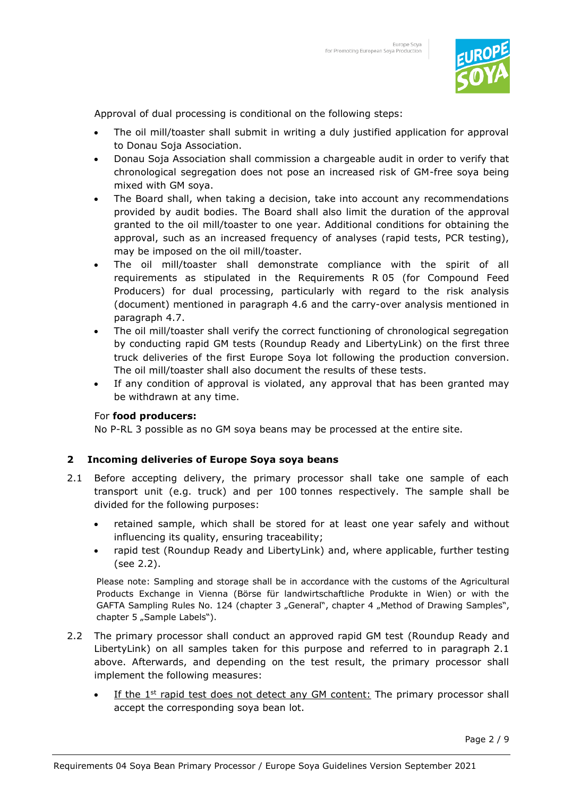

Approval of dual processing is conditional on the following steps:

- The oil mill/toaster shall submit in writing a duly justified application for approval to Donau Soja Association.
- Donau Soja Association shall commission a chargeable audit in order to verify that chronological segregation does not pose an increased risk of GM-free soya being mixed with GM soya.
- The Board shall, when taking a decision, take into account any recommendations provided by audit bodies. The Board shall also limit the duration of the approval granted to the oil mill/toaster to one year. Additional conditions for obtaining the approval, such as an increased frequency of analyses (rapid tests, PCR testing), may be imposed on the oil mill/toaster.
- The oil mill/toaster shall demonstrate compliance with the spirit of all requirements as stipulated in the Requirements R 05 (for Compound Feed Producers) for dual processing, particularly with regard to the risk analysis (document) mentioned in paragraph 4.6 and the carry-over analysis mentioned in paragraph 4.7.
- The oil mill/toaster shall verify the correct functioning of chronological segregation by conducting rapid GM tests (Roundup Ready and LibertyLink) on the first three truck deliveries of the first Europe Soya lot following the production conversion. The oil mill/toaster shall also document the results of these tests.
- If any condition of approval is violated, any approval that has been granted may be withdrawn at any time.

### For **food producers:**

No P-RL 3 possible as no GM soya beans may be processed at the entire site.

### **2 Incoming deliveries of Europe Soya soya beans**

- 2.1 Before accepting delivery, the primary processor shall take one sample of each transport unit (e.g. truck) and per 100 tonnes respectively. The sample shall be divided for the following purposes:
	- retained sample, which shall be stored for at least one year safely and without influencing its quality, ensuring traceability;
	- rapid test (Roundup Ready and LibertyLink) and, where applicable, further testing (see 2.2).

Please note: Sampling and storage shall be in accordance with the customs of the Agricultural Products Exchange in Vienna (Börse für landwirtschaftliche Produkte in Wien) or with the GAFTA Sampling Rules No. 124 (chapter 3 "General", chapter 4 "Method of Drawing Samples", chapter 5 "Sample Labels").

- 2.2 The primary processor shall conduct an approved rapid GM test (Roundup Ready and LibertyLink) on all samples taken for this purpose and referred to in paragraph 2.1 above. Afterwards, and depending on the test result, the primary processor shall implement the following measures:
	- If the  $1<sup>st</sup>$  rapid test does not detect any GM content: The primary processor shall accept the corresponding soya bean lot.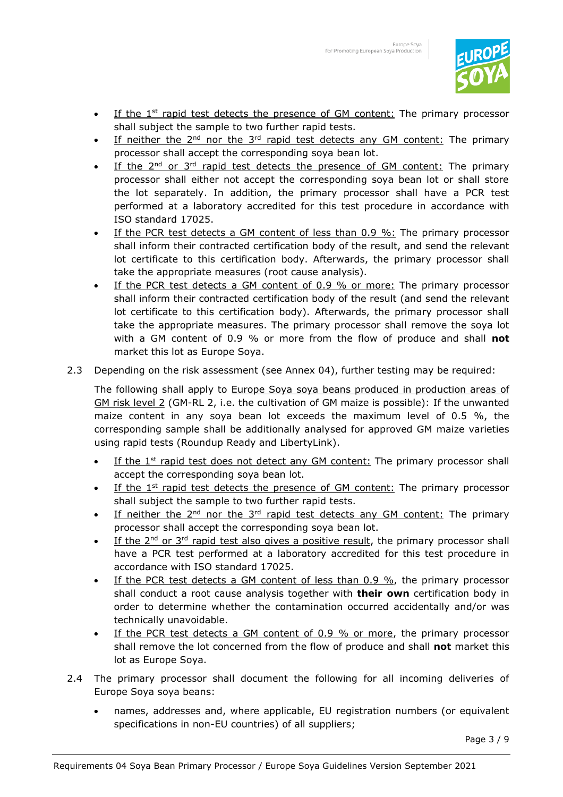

- If the  $1<sup>st</sup>$  rapid test detects the presence of GM content: The primary processor shall subject the sample to two further rapid tests.
- If neither the  $2^{nd}$  nor the  $3^{rd}$  rapid test detects any GM content: The primary processor shall accept the corresponding soya bean lot.
- If the  $2^{nd}$  or  $3^{rd}$  rapid test detects the presence of GM content: The primary processor shall either not accept the corresponding soya bean lot or shall store the lot separately. In addition, the primary processor shall have a PCR test performed at a laboratory accredited for this test procedure in accordance with ISO standard 17025.
- If the PCR test detects a GM content of less than 0.9 %: The primary processor shall inform their contracted certification body of the result, and send the relevant lot certificate to this certification body. Afterwards, the primary processor shall take the appropriate measures (root cause analysis).
- If the PCR test detects a GM content of 0.9 % or more: The primary processor shall inform their contracted certification body of the result (and send the relevant lot certificate to this certification body). Afterwards, the primary processor shall take the appropriate measures. The primary processor shall remove the soya lot with a GM content of 0.9 % or more from the flow of produce and shall **not** market this lot as Europe Soya.
- 2.3 Depending on the risk assessment (see Annex 04), further testing may be required:

The following shall apply to Europe Soya soya beans produced in production areas of GM risk level 2 (GM-RL 2, i.e. the cultivation of GM maize is possible): If the unwanted maize content in any soya bean lot exceeds the maximum level of 0.5 %, the corresponding sample shall be additionally analysed for approved GM maize varieties using rapid tests (Roundup Ready and LibertyLink).

- If the  $1<sup>st</sup>$  rapid test does not detect any GM content: The primary processor shall accept the corresponding soya bean lot.
- If the  $1<sup>st</sup>$  rapid test detects the presence of GM content: The primary processor shall subject the sample to two further rapid tests.
- If neither the  $2^{nd}$  nor the  $3^{rd}$  rapid test detects any GM content: The primary processor shall accept the corresponding soya bean lot.
- If the  $2^{nd}$  or  $3^{rd}$  rapid test also gives a positive result, the primary processor shall have a PCR test performed at a laboratory accredited for this test procedure in accordance with ISO standard 17025.
- If the PCR test detects a GM content of less than  $0.9 \%$ , the primary processor shall conduct a root cause analysis together with **their own** certification body in order to determine whether the contamination occurred accidentally and/or was technically unavoidable.
- If the PCR test detects a GM content of 0.9 % or more, the primary processor shall remove the lot concerned from the flow of produce and shall **not** market this lot as Europe Soya.
- 2.4 The primary processor shall document the following for all incoming deliveries of Europe Soya soya beans:
	- names, addresses and, where applicable, EU registration numbers (or equivalent specifications in non-EU countries) of all suppliers;

Page 3 / 9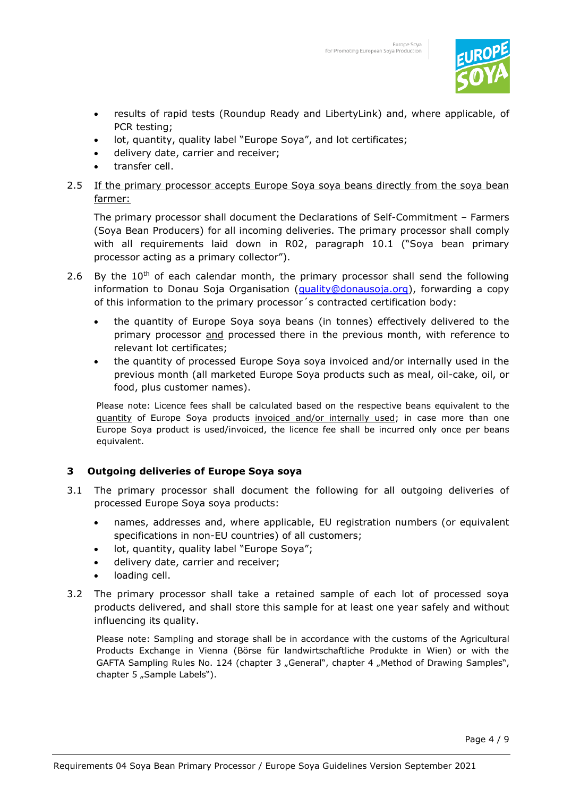

- results of rapid tests (Roundup Ready and LibertyLink) and, where applicable, of PCR testing;
- lot, quantity, quality label "Europe Soya", and lot certificates;
- delivery date, carrier and receiver;
- transfer cell.
- 2.5 If the primary processor accepts Europe Soya soya beans directly from the soya bean farmer:

The primary processor shall document the Declarations of Self-Commitment – Farmers (Soya Bean Producers) for all incoming deliveries. The primary processor shall comply with all requirements laid down in R02, paragraph 10.1 ("Soya bean primary processor acting as a primary collector").

- 2.6 By the  $10<sup>th</sup>$  of each calendar month, the primary processor shall send the following information to Donau Soja Organisation (*quality@donausoja.org*), forwarding a copy of this information to the primary processor´s contracted certification body:
	- the quantity of Europe Soya soya beans (in tonnes) effectively delivered to the primary processor and processed there in the previous month, with reference to relevant lot certificates;
	- the quantity of processed Europe Soya soya invoiced and/or internally used in the previous month (all marketed Europe Soya products such as meal, oil-cake, oil, or food, plus customer names).

Please note: Licence fees shall be calculated based on the respective beans equivalent to the guantity of Europe Soya products invoiced and/or internally used; in case more than one Europe Soya product is used/invoiced, the licence fee shall be incurred only once per beans equivalent.

### **3 Outgoing deliveries of Europe Soya soya**

- 3.1 The primary processor shall document the following for all outgoing deliveries of processed Europe Soya soya products:
	- names, addresses and, where applicable, EU registration numbers (or equivalent specifications in non-EU countries) of all customers;
	- lot, quantity, quality label "Europe Soya";
	- delivery date, carrier and receiver;
	- loading cell.
- 3.2 The primary processor shall take a retained sample of each lot of processed soya products delivered, and shall store this sample for at least one year safely and without influencing its quality.

Please note: Sampling and storage shall be in accordance with the customs of the Agricultural Products Exchange in Vienna (Börse für landwirtschaftliche Produkte in Wien) or with the GAFTA Sampling Rules No. 124 (chapter 3 "General", chapter 4 "Method of Drawing Samples", chapter 5 "Sample Labels").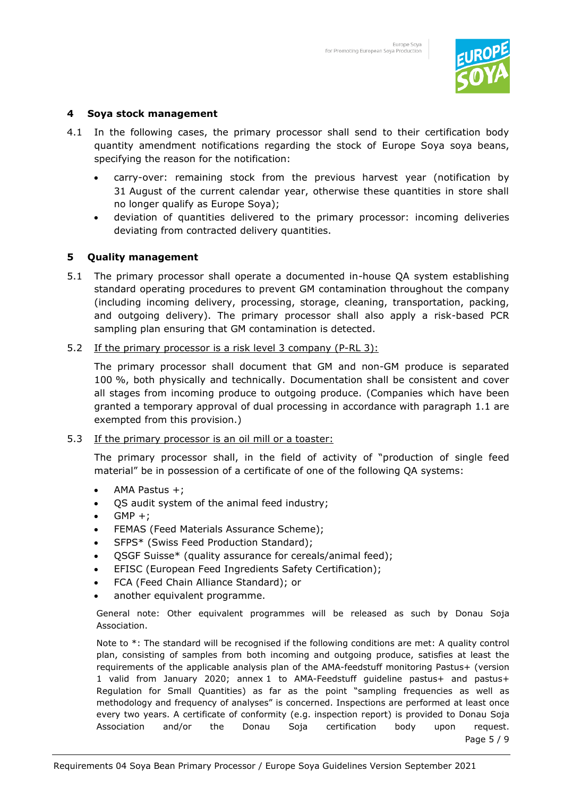

### **4 Soya stock management**

- 4.1 In the following cases, the primary processor shall send to their certification body quantity amendment notifications regarding the stock of Europe Soya soya beans, specifying the reason for the notification:
	- carry-over: remaining stock from the previous harvest year (notification by 31 August of the current calendar year, otherwise these quantities in store shall no longer qualify as Europe Soya);
	- deviation of quantities delivered to the primary processor: incoming deliveries deviating from contracted delivery quantities.

# **5 Quality management**

- 5.1 The primary processor shall operate a documented in-house QA system establishing standard operating procedures to prevent GM contamination throughout the company (including incoming delivery, processing, storage, cleaning, transportation, packing, and outgoing delivery). The primary processor shall also apply a risk-based PCR sampling plan ensuring that GM contamination is detected.
- 5.2 If the primary processor is a risk level 3 company (P-RL 3):

The primary processor shall document that GM and non-GM produce is separated 100 %, both physically and technically. Documentation shall be consistent and cover all stages from incoming produce to outgoing produce. (Companies which have been granted a temporary approval of dual processing in accordance with paragraph 1.1 are exempted from this provision.)

### 5.3 If the primary processor is an oil mill or a toaster:

The primary processor shall, in the field of activity of "production of single feed material" be in possession of a certificate of one of the following QA systems:

- AMA Pastus +;
- QS audit system of the animal feed industry;
- $GMP +;$
- FEMAS (Feed Materials Assurance Scheme);
- SFPS\* (Swiss Feed Production Standard);
- QSGF Suisse\* (quality assurance for cereals/animal feed);
- EFISC (European Feed Ingredients Safety Certification);
- FCA (Feed Chain Alliance Standard); or
- another equivalent programme.

General note: Other equivalent programmes will be released as such by Donau Soja Association.

Note to \*: The standard will be recognised if the following conditions are met: A quality control plan, consisting of samples from both incoming and outgoing produce, satisfies at least the requirements of the applicable analysis plan of the AMA-feedstuff monitoring Pastus+ (version 1 valid from January 2020; annex 1 to AMA-Feedstuff guideline pastus+ and pastus+ Regulation for Small Quantities) as far as the point "sampling frequencies as well as methodology and frequency of analyses" is concerned. Inspections are performed at least once every two years. A certificate of conformity (e.g. inspection report) is provided to Donau Soja Association and/or the Donau Soja certification body upon request.

Page 5 / 9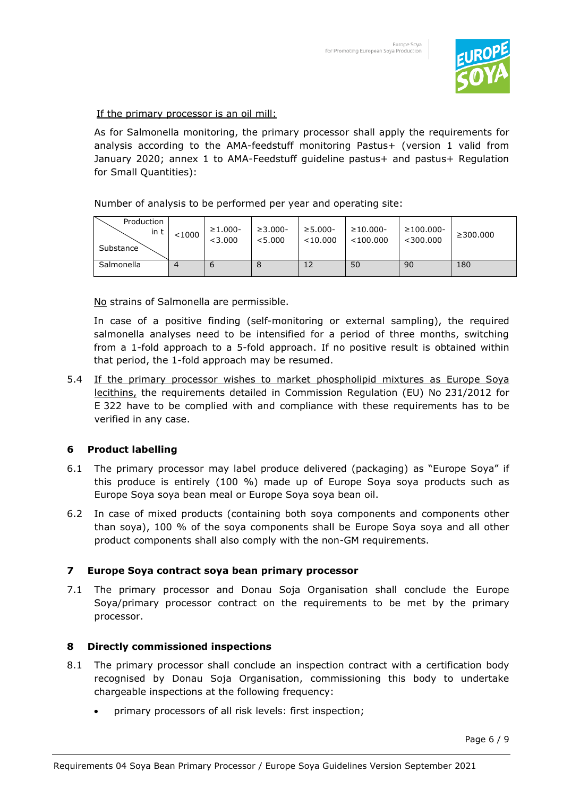

If the primary processor is an oil mill:

As for Salmonella monitoring, the primary processor shall apply the requirements for analysis according to the AMA-feedstuff monitoring Pastus+ (version 1 valid from January 2020; annex 1 to AMA-Feedstuff guideline pastus+ and pastus+ Regulation for Small Quantities):

Number of analysis to be performed per year and operating site:

| Production<br>in t<br>Substance | < 1000 | $\geq 1.000 -$<br>< 3.000 | $\geq 3.000 -$<br>< 5.000 | $\geq 5.000 -$<br>$<$ 10.000 | $\geq 10.000 -$<br>$<$ 100.000 | $\geq$ 100.000-<br>$<$ 300.000 | $\geq$ 300.000 |
|---------------------------------|--------|---------------------------|---------------------------|------------------------------|--------------------------------|--------------------------------|----------------|
| Salmonella                      | 4      |                           | Õ                         | 12                           | 50                             | 90                             | 180            |

No strains of Salmonella are permissible.

In case of a positive finding (self-monitoring or external sampling), the required salmonella analyses need to be intensified for a period of three months, switching from a 1-fold approach to a 5-fold approach. If no positive result is obtained within that period, the 1-fold approach may be resumed.

5.4 If the primary processor wishes to market phospholipid mixtures as Europe Soya lecithins, the requirements detailed in Commission Regulation (EU) No 231/2012 for E 322 have to be complied with and compliance with these requirements has to be verified in any case.

# **6 Product labelling**

- 6.1 The primary processor may label produce delivered (packaging) as "Europe Soya" if this produce is entirely (100 %) made up of Europe Soya soya products such as Europe Soya soya bean meal or Europe Soya soya bean oil.
- 6.2 In case of mixed products (containing both soya components and components other than soya), 100 % of the soya components shall be Europe Soya soya and all other product components shall also comply with the non-GM requirements.

# **7 Europe Soya contract soya bean primary processor**

7.1 The primary processor and Donau Soja Organisation shall conclude the Europe Soya/primary processor contract on the requirements to be met by the primary processor.

# **8 Directly commissioned inspections**

- 8.1 The primary processor shall conclude an inspection contract with a certification body recognised by Donau Soja Organisation, commissioning this body to undertake chargeable inspections at the following frequency:
	- primary processors of all risk levels: first inspection;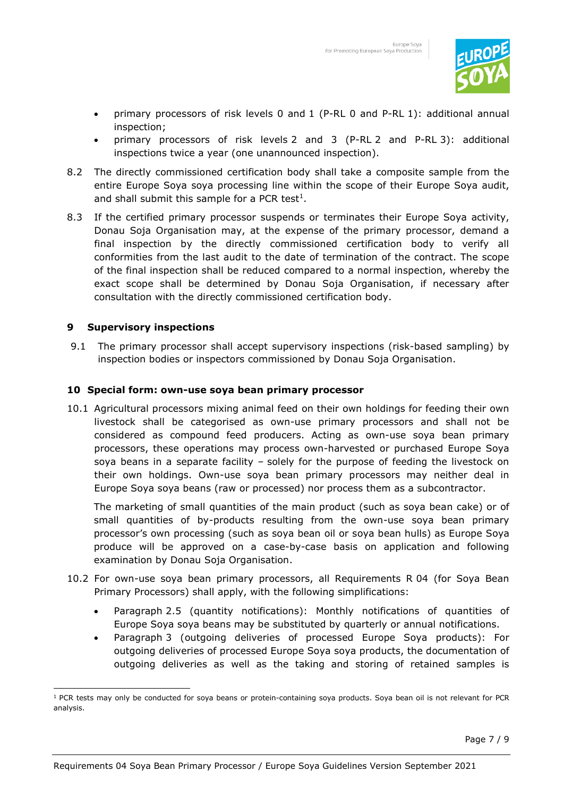

- primary processors of risk levels 0 and 1 (P-RL 0 and P-RL 1): additional annual inspection;
- primary processors of risk levels 2 and 3 (P-RL 2 and P-RL 3): additional inspections twice a year (one unannounced inspection).
- 8.2 The directly commissioned certification body shall take a composite sample from the entire Europe Soya soya processing line within the scope of their Europe Soya audit, and shall submit this sample for a PCR test $^1$ .
- 8.3 If the certified primary processor suspends or terminates their Europe Soya activity, Donau Soja Organisation may, at the expense of the primary processor, demand a final inspection by the directly commissioned certification body to verify all conformities from the last audit to the date of termination of the contract. The scope of the final inspection shall be reduced compared to a normal inspection, whereby the exact scope shall be determined by Donau Soja Organisation, if necessary after consultation with the directly commissioned certification body.

### **9 Supervisory inspections**

9.1 The primary processor shall accept supervisory inspections (risk-based sampling) by inspection bodies or inspectors commissioned by Donau Soja Organisation.

# **10 Special form: own-use soya bean primary processor**

10.1 Agricultural processors mixing animal feed on their own holdings for feeding their own livestock shall be categorised as own-use primary processors and shall not be considered as compound feed producers. Acting as own-use soya bean primary processors, these operations may process own-harvested or purchased Europe Soya soya beans in a separate facility – solely for the purpose of feeding the livestock on their own holdings. Own-use soya bean primary processors may neither deal in Europe Soya soya beans (raw or processed) nor process them as a subcontractor.

The marketing of small quantities of the main product (such as soya bean cake) or of small quantities of by-products resulting from the own-use soya bean primary processor's own processing (such as soya bean oil or soya bean hulls) as Europe Soya produce will be approved on a case-by-case basis on application and following examination by Donau Soja Organisation.

- 10.2 For own-use soya bean primary processors, all Requirements R 04 (for Soya Bean Primary Processors) shall apply, with the following simplifications:
	- Paragraph 2.5 (quantity notifications): Monthly notifications of quantities of Europe Soya soya beans may be substituted by quarterly or annual notifications.
	- Paragraph 3 (outgoing deliveries of processed Europe Soya products): For outgoing deliveries of processed Europe Soya soya products, the documentation of outgoing deliveries as well as the taking and storing of retained samples is

<sup>&</sup>lt;sup>1</sup> PCR tests may only be conducted for soya beans or protein-containing soya products. Soya bean oil is not relevant for PCR analysis.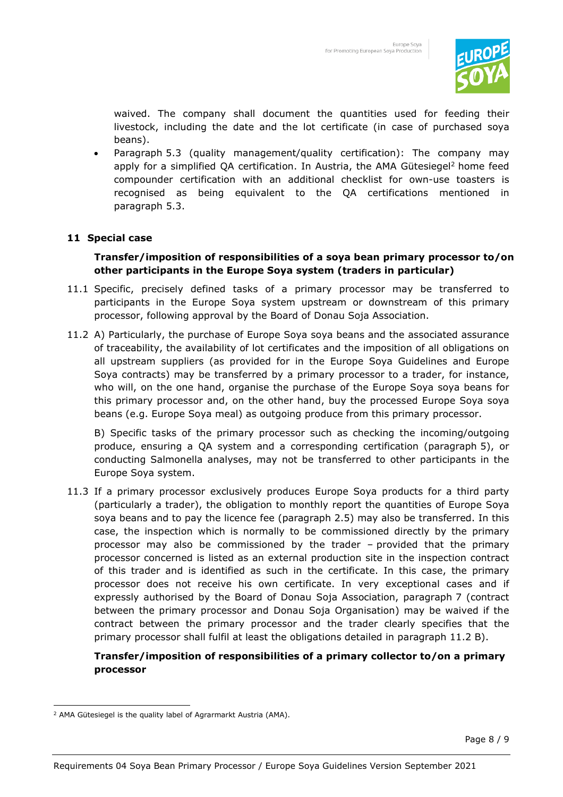

waived. The company shall document the quantities used for feeding their livestock, including the date and the lot certificate (in case of purchased soya beans).

• Paragraph 5.3 (quality management/quality certification): The company may apply for a simplified QA certification. In Austria, the AMA Gütesiegel<sup>2</sup> home feed compounder certification with an additional checklist for own-use toasters is recognised as being equivalent to the QA certifications mentioned in paragraph 5.3.

# **11 Special case**

# **Transfer/imposition of responsibilities of a soya bean primary processor to/on other participants in the Europe Soya system (traders in particular)**

- 11.1 Specific, precisely defined tasks of a primary processor may be transferred to participants in the Europe Soya system upstream or downstream of this primary processor, following approval by the Board of Donau Soja Association.
- 11.2 A) Particularly, the purchase of Europe Soya soya beans and the associated assurance of traceability, the availability of lot certificates and the imposition of all obligations on all upstream suppliers (as provided for in the Europe Soya Guidelines and Europe Soya contracts) may be transferred by a primary processor to a trader, for instance, who will, on the one hand, organise the purchase of the Europe Soya soya beans for this primary processor and, on the other hand, buy the processed Europe Soya soya beans (e.g. Europe Soya meal) as outgoing produce from this primary processor.

B) Specific tasks of the primary processor such as checking the incoming/outgoing produce, ensuring a QA system and a corresponding certification (paragraph 5), or conducting Salmonella analyses, may not be transferred to other participants in the Europe Soya system.

11.3 If a primary processor exclusively produces Europe Soya products for a third party (particularly a trader), the obligation to monthly report the quantities of Europe Soya soya beans and to pay the licence fee (paragraph 2.5) may also be transferred. In this case, the inspection which is normally to be commissioned directly by the primary processor may also be commissioned by the trader – provided that the primary processor concerned is listed as an external production site in the inspection contract of this trader and is identified as such in the certificate. In this case, the primary processor does not receive his own certificate. In very exceptional cases and if expressly authorised by the Board of Donau Soja Association, paragraph 7 (contract between the primary processor and Donau Soja Organisation) may be waived if the contract between the primary processor and the trader clearly specifies that the primary processor shall fulfil at least the obligations detailed in paragraph 11.2 B).

# **Transfer/imposition of responsibilities of a primary collector to/on a primary processor**

<sup>2</sup> AMA Gütesiegel is the quality label of Agrarmarkt Austria (AMA).